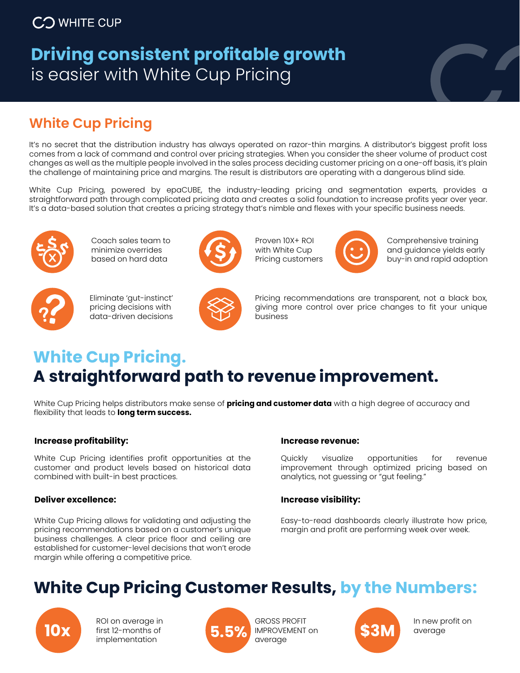# **Driving consistent profitable growth**  is easier with White Cup Pricing



## **White Cup Pricing**

It's no secret that the distribution industry has always operated on razor-thin margins. A distributor's biggest profit loss comes from a lack of command and control over pricing strategies. When you consider the sheer volume of product cost changes as well as the multiple people involved in the sales process deciding customer pricing on a one-off basis, it's plain the challenge of maintaining price and margins. The result is distributors are operating with a dangerous blind side.

White Cup Pricing, powered by epaCUBE, the industry-leading pricing and segmentation experts, provides a straightforward path through complicated pricing data and creates a solid foundation to increase profits year over year. It's a data-based solution that creates a pricing strategy that's nimble and flexes with your specific business needs.



Coach sales team to minimize overrides based on hard data



Eliminate 'gut-instinct' pricing decisions with



Proven 10X+ ROI with White Cup Pricing customers



Comprehensive training and guidance yields early buy-in and rapid adoption



data-driven decisions



Pricing recommendations are transparent, not a black box, giving more control over price changes to fit your unique business

## **White Cup Pricing. A straightforward path to revenue improvement.**

White Cup Pricing helps distributors make sense of **pricing and customer data** with a high degree of accuracy and flexibility that leads to **long term success.** 

### **Increase profitability:**

White Cup Pricing identifies profit opportunities at the customer and product levels based on historical data combined with built-in best practices.

### **Deliver excellence:**

White Cup Pricing allows for validating and adjusting the pricing recommendations based on a customer's unique business challenges. A clear price floor and ceiling are established for customer-level decisions that won't erode margin while offering a competitive price.

#### **Increase revenue:**

Quickly visualize opportunities for revenue improvement through optimized pricing based on analytics, not guessing or "gut feeling."

### **Increase visibility:**

Easy-to-read dashboards clearly illustrate how price, margin and profit are performing week over week.

# **White Cup Pricing Customer Results, by the Numbers:**



**10x EXPLOM AND ROI on average in**<br> **10x implementation**<br> **5.5% EXPLOM EXPLOMENT on** first 12-months of implementation



GROSS PROFIT IMPROVEMENT on average



In new profit on average